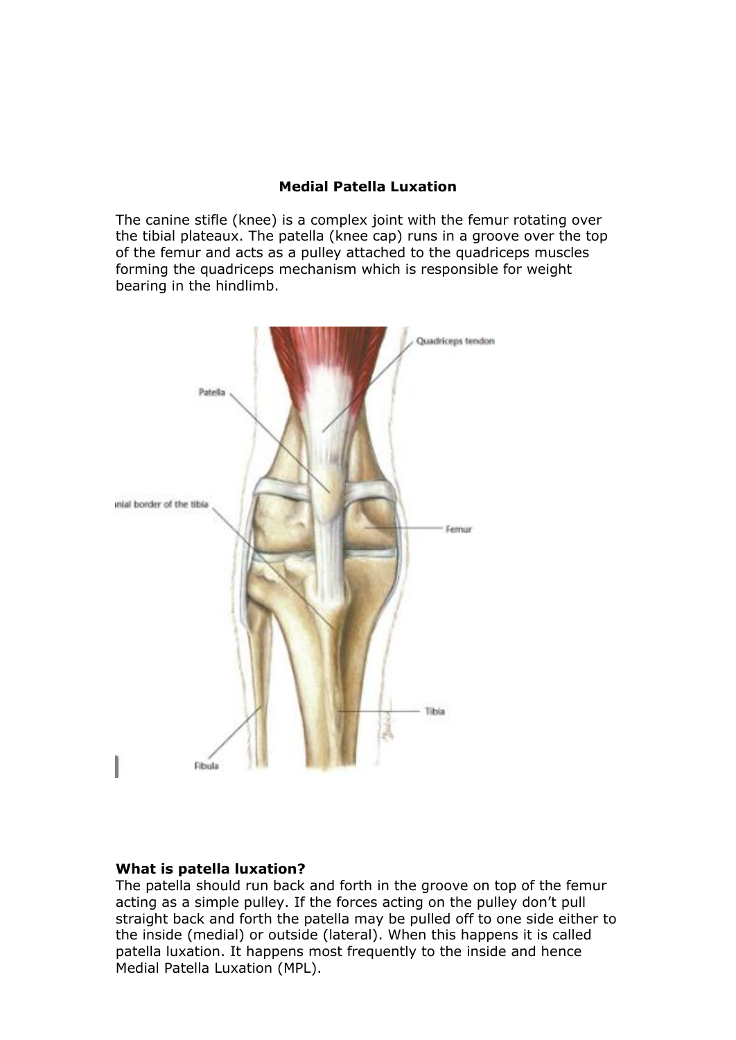# **Medial Patella Luxation**

The canine stifle (knee) is a complex joint with the femur rotating over the tibial plateaux. The patella (knee cap) runs in a groove over the top of the femur and acts as a pulley attached to the quadriceps muscles forming the quadriceps mechanism which is responsible for weight bearing in the hindlimb.



### **What is patella luxation?**

The patella should run back and forth in the groove on top of the femur acting as a simple pulley. If the forces acting on the pulley don't pull straight back and forth the patella may be pulled off to one side either to the inside (medial) or outside (lateral). When this happens it is called patella luxation. It happens most frequently to the inside and hence Medial Patella Luxation (MPL).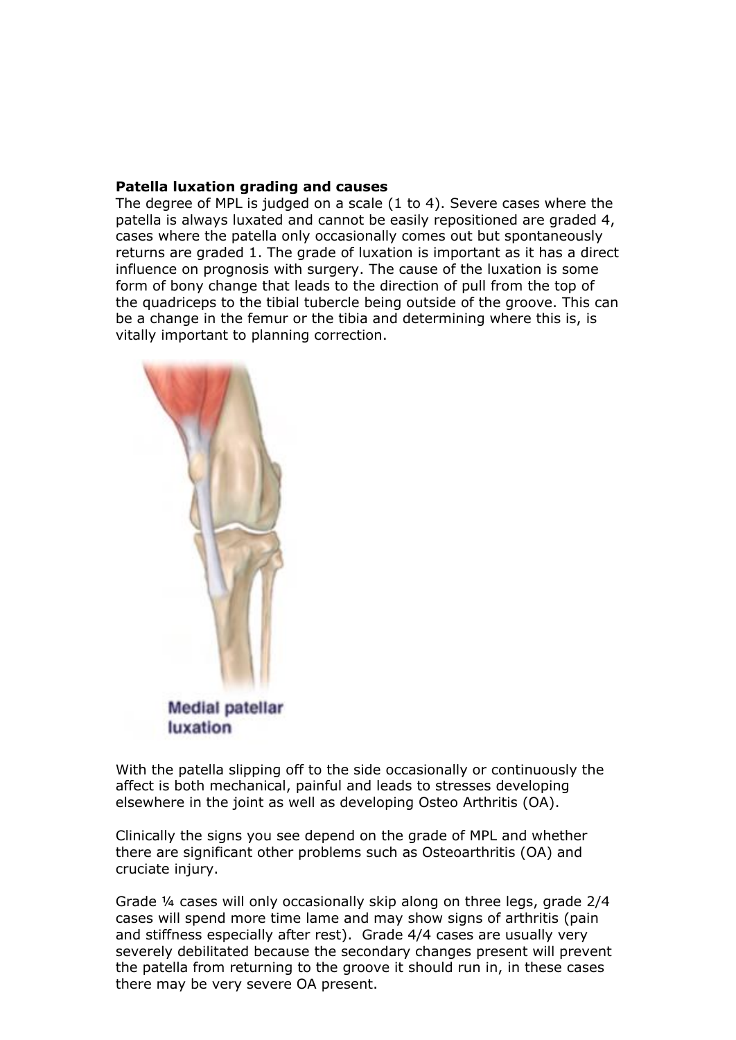## **Patella luxation grading and causes**

The degree of MPL is judged on a scale (1 to 4). Severe cases where the patella is always luxated and cannot be easily repositioned are graded 4, cases where the patella only occasionally comes out but spontaneously returns are graded 1. The grade of luxation is important as it has a direct influence on prognosis with surgery. The cause of the luxation is some form of bony change that leads to the direction of pull from the top of the quadriceps to the tibial tubercle being outside of the groove. This can be a change in the femur or the tibia and determining where this is, is vitally important to planning correction.



With the patella slipping off to the side occasionally or continuously the affect is both mechanical, painful and leads to stresses developing elsewhere in the joint as well as developing Osteo Arthritis (OA).

Clinically the signs you see depend on the grade of MPL and whether there are significant other problems such as Osteoarthritis (OA) and cruciate injury.

Grade ¼ cases will only occasionally skip along on three legs, grade 2/4 cases will spend more time lame and may show signs of arthritis (pain and stiffness especially after rest). Grade 4/4 cases are usually very severely debilitated because the secondary changes present will prevent the patella from returning to the groove it should run in, in these cases there may be very severe OA present.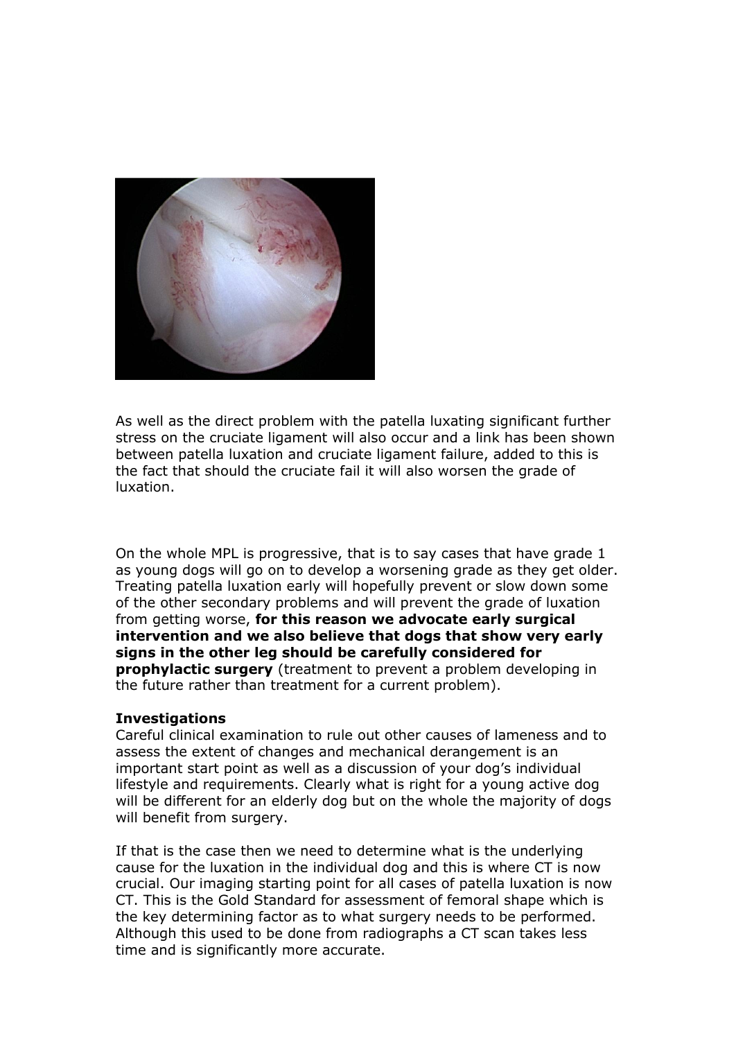

As well as the direct problem with the patella luxating significant further stress on the cruciate ligament will also occur and a link has been shown between patella luxation and cruciate ligament failure, added to this is the fact that should the cruciate fail it will also worsen the grade of luxation.

On the whole MPL is progressive, that is to say cases that have grade 1 as young dogs will go on to develop a worsening grade as they get older. Treating patella luxation early will hopefully prevent or slow down some of the other secondary problems and will prevent the grade of luxation from getting worse, **for this reason we advocate early surgical intervention and we also believe that dogs that show very early signs in the other leg should be carefully considered for prophylactic surgery** (treatment to prevent a problem developing in the future rather than treatment for a current problem).

#### **Investigations**

Careful clinical examination to rule out other causes of lameness and to assess the extent of changes and mechanical derangement is an important start point as well as a discussion of your dog's individual lifestyle and requirements. Clearly what is right for a young active dog will be different for an elderly dog but on the whole the majority of dogs will benefit from surgery.

If that is the case then we need to determine what is the underlying cause for the luxation in the individual dog and this is where CT is now crucial. Our imaging starting point for all cases of patella luxation is now CT. This is the Gold Standard for assessment of femoral shape which is the key determining factor as to what surgery needs to be performed. Although this used to be done from radiographs a CT scan takes less time and is significantly more accurate.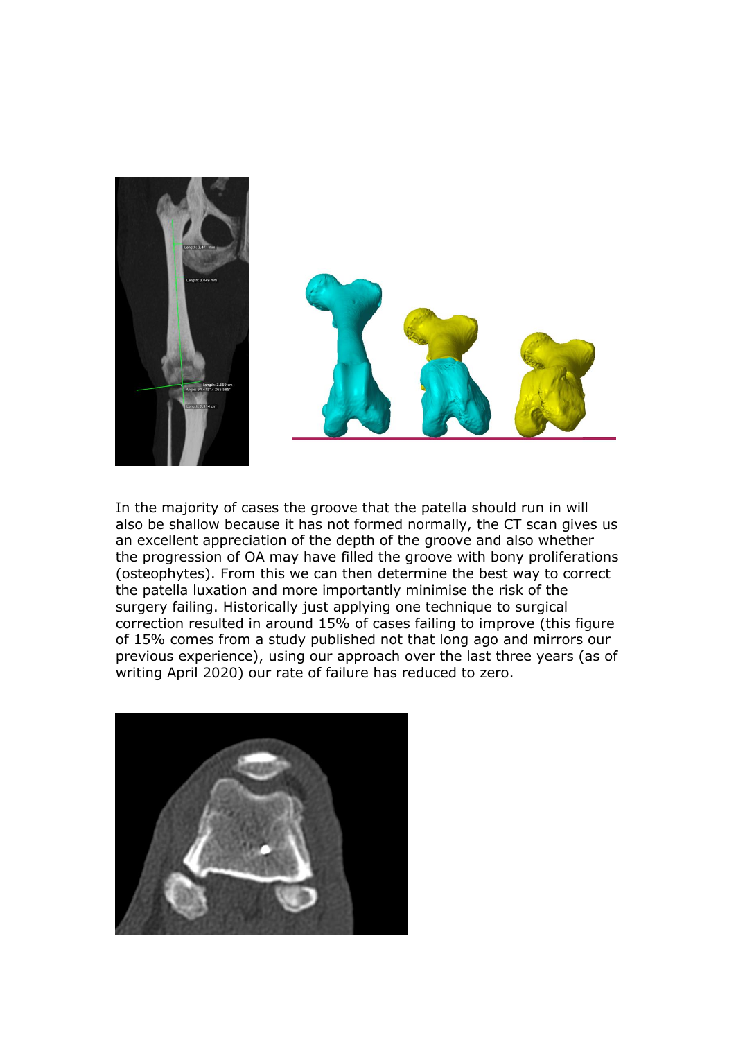

In the majority of cases the groove that the patella should run in will also be shallow because it has not formed normally, the CT scan gives us an excellent appreciation of the depth of the groove and also whether the progression of OA may have filled the groove with bony proliferations (osteophytes). From this we can then determine the best way to correct the patella luxation and more importantly minimise the risk of the surgery failing. Historically just applying one technique to surgical correction resulted in around 15% of cases failing to improve (this figure of 15% comes from a study published not that long ago and mirrors our previous experience), using our approach over the last three years (as of writing April 2020) our rate of failure has reduced to zero.

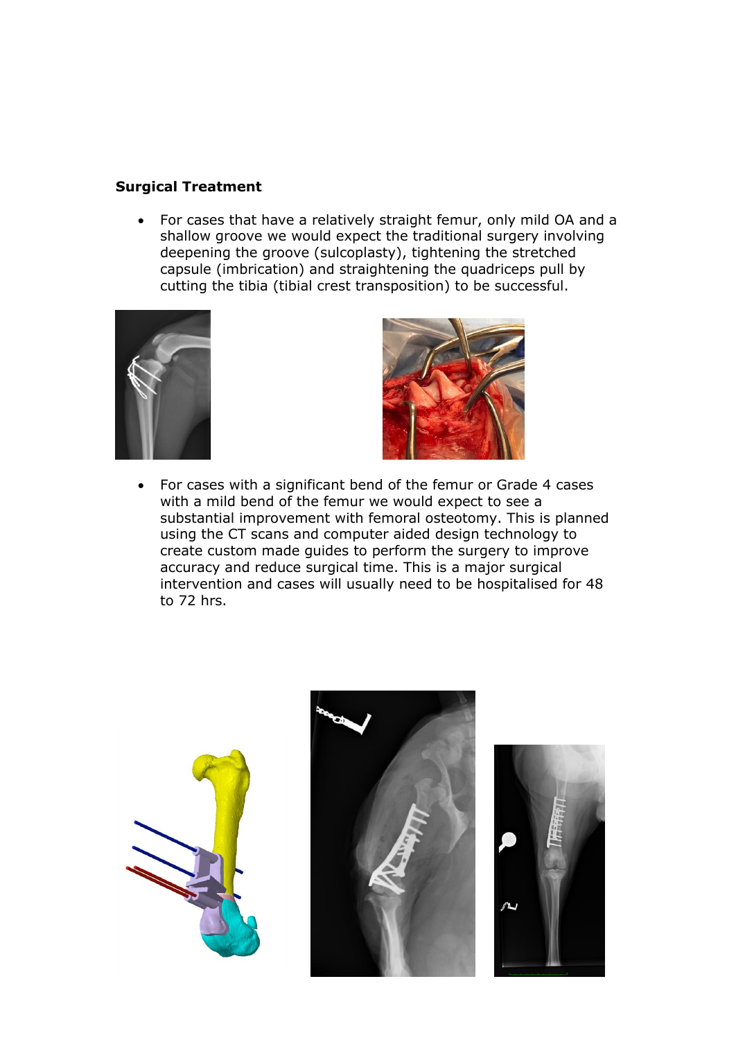## **Surgical Treatment**

• For cases that have a relatively straight femur, only mild OA and a shallow groove we would expect the traditional surgery involving deepening the groove (sulcoplasty), tightening the stretched capsule (imbrication) and straightening the quadriceps pull by cutting the tibia (tibial crest transposition) to be successful.





• For cases with a significant bend of the femur or Grade 4 cases with a mild bend of the femur we would expect to see a substantial improvement with femoral osteotomy. This is planned using the CT scans and computer aided design technology to create custom made guides to perform the surgery to improve accuracy and reduce surgical time. This is a major surgical intervention and cases will usually need to be hospitalised for 48 to 72 hrs.